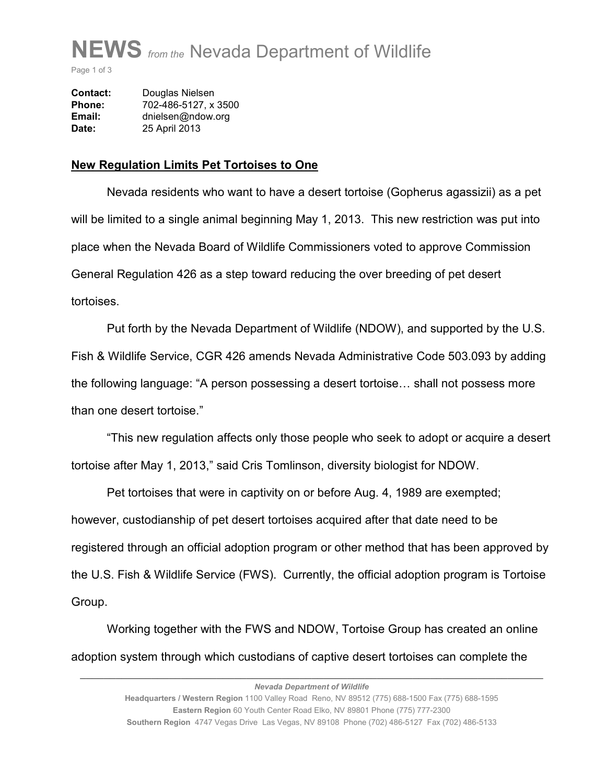

Page 1 of 3

| <b>Contact:</b> | Douglas Nielsen      |  |
|-----------------|----------------------|--|
| Phone:          | 702-486-5127, x 3500 |  |
| Email:          | dnielsen@ndow.org    |  |
| Date:           | 25 April 2013        |  |

## **New Regulation Limits Pet Tortoises to One**

 Nevada residents who want to have a desert tortoise (Gopherus agassizii) as a pet will be limited to a single animal beginning May 1, 2013. This new restriction was put into place when the Nevada Board of Wildlife Commissioners voted to approve Commission General Regulation 426 as a step toward reducing the over breeding of pet desert tortoises.

 Put forth by the Nevada Department of Wildlife (NDOW), and supported by the U.S. Fish & Wildlife Service, CGR 426 amends Nevada Administrative Code 503.093 by adding the following language: "A person possessing a desert tortoise... shall not possess more than one desert tortoise."

 "This new regulation affects only those people who seek to adopt or acquire a desert tortoise after May 1, 2013," said Cris Tomlinson, diversity biologist for NDOW.

 Pet tortoises that were in captivity on or before Aug. 4, 1989 are exempted; however, custodianship of pet desert tortoises acquired after that date need to be registered through an official adoption program or other method that has been approved by the U.S. Fish & Wildlife Service (FWS). Currently, the official adoption program is Tortoise Group.

 Working together with the FWS and NDOW, Tortoise Group has created an online adoption system through which custodians of captive desert tortoises can complete the

*\_\_\_\_\_\_\_\_\_\_\_\_\_\_\_\_\_\_\_\_\_\_\_\_\_\_\_\_\_\_\_\_\_\_\_\_\_\_\_\_\_\_\_\_\_\_\_\_\_\_\_\_\_\_\_\_\_\_\_\_\_\_\_\_\_\_\_\_\_\_\_\_\_\_\_\_\_\_*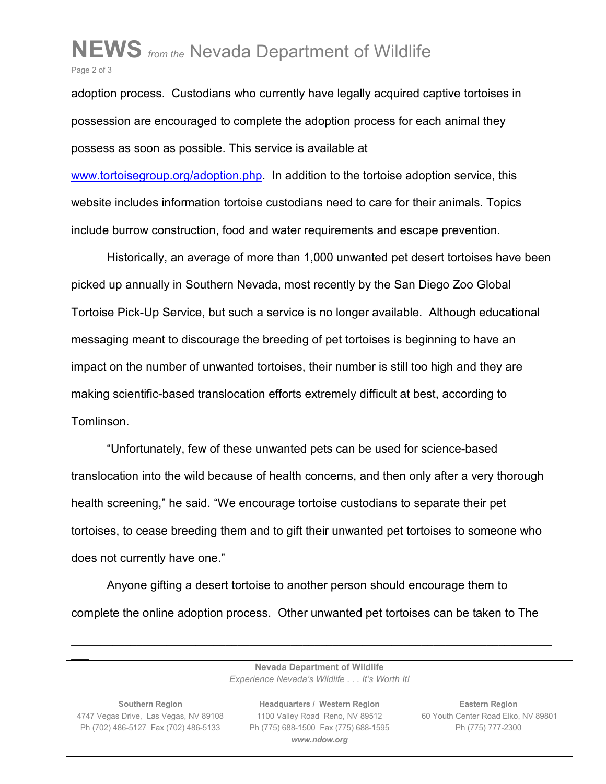## **NEWS** *from the* Nevada Department of Wildlife Page 2 of 3

adoption process. Custodians who currently have legally acquired captive tortoises in possession are encouraged to complete the adoption process for each animal they possess as soon as possible. This service is available at

www.tortoisegroup.org/adoption.php. In addition to the tortoise adoption service, this website includes information tortoise custodians need to care for their animals. Topics include burrow construction, food and water requirements and escape prevention.

 Historically, an average of more than 1,000 unwanted pet desert tortoises have been picked up annually in Southern Nevada, most recently by the San Diego Zoo Global Tortoise Pick-Up Service, but such a service is no longer available. Although educational messaging meant to discourage the breeding of pet tortoises is beginning to have an impact on the number of unwanted tortoises, their number is still too high and they are making scientific-based translocation efforts extremely difficult at best, according to Tomlinson.

 "Unfortunately, few of these unwanted pets can be used for science-based translocation into the wild because of health concerns, and then only after a very thorough health screening," he said. "We encourage tortoise custodians to separate their pet tortoises, to cease breeding them and to gift their unwanted pet tortoises to someone who does not currently have one."

 Anyone gifting a desert tortoise to another person should encourage them to complete the online adoption process. Other unwanted pet tortoises can be taken to The

*\_\_\_\_\_\_\_\_\_\_\_\_\_\_\_\_\_\_\_\_\_\_\_\_\_\_\_\_\_\_\_\_\_\_\_\_\_\_\_\_\_\_\_\_\_\_\_\_\_\_\_\_\_\_\_\_\_\_\_\_\_\_\_\_\_\_\_\_\_\_\_\_\_\_\_\_\_\_\_\_\_*

| <b>Nevada Department of Wildlife</b><br>Experience Nevada's Wildlife It's Worth It!                     |                                                                                                                                 |                                                                                   |  |  |
|---------------------------------------------------------------------------------------------------------|---------------------------------------------------------------------------------------------------------------------------------|-----------------------------------------------------------------------------------|--|--|
| <b>Southern Region</b><br>4747 Vegas Drive, Las Vegas, NV 89108<br>Ph (702) 486-5127 Fax (702) 486-5133 | <b>Headquarters / Western Region</b><br>1100 Valley Road Reno, NV 89512<br>Ph (775) 688-1500 Fax (775) 688-1595<br>www.ndow.org | <b>Eastern Region</b><br>60 Youth Center Road Elko, NV 89801<br>Ph (775) 777-2300 |  |  |